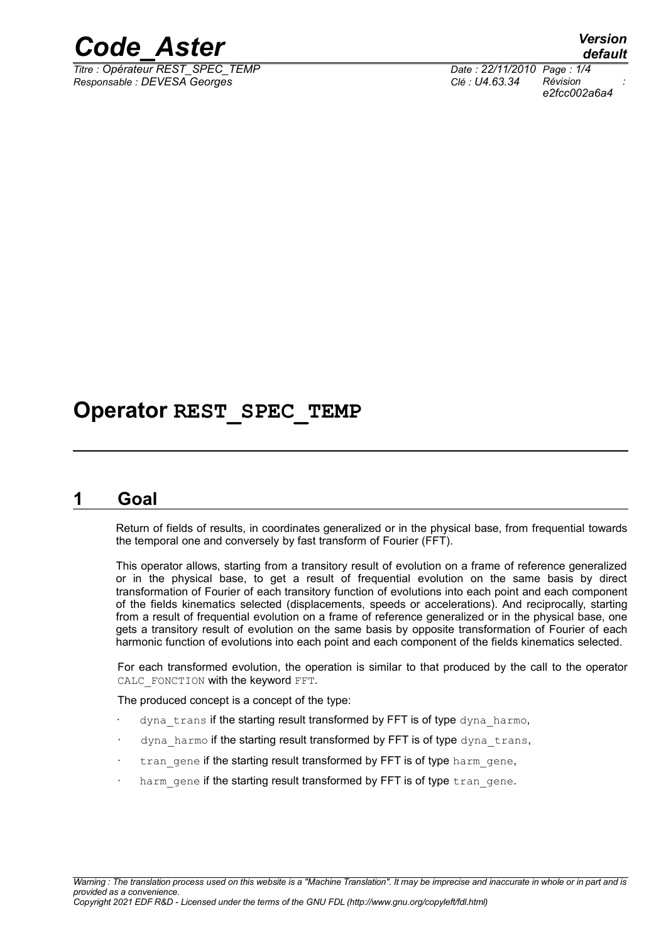

*Titre : Opérateur REST\_SPEC\_TEMP Date : 22/11/2010 Page : 1/4 Responsable : DEVESA Georges Clé : U4.63.34 Révision :*

*e2fcc002a6a4*

# **Operator REST\_SPEC\_TEMP**

## **1 Goal**

Return of fields of results, in coordinates generalized or in the physical base, from frequential towards the temporal one and conversely by fast transform of Fourier (FFT).

This operator allows, starting from a transitory result of evolution on a frame of reference generalized or in the physical base, to get a result of frequential evolution on the same basis by direct transformation of Fourier of each transitory function of evolutions into each point and each component of the fields kinematics selected (displacements, speeds or accelerations). And reciprocally, starting from a result of frequential evolution on a frame of reference generalized or in the physical base, one gets a transitory result of evolution on the same basis by opposite transformation of Fourier of each harmonic function of evolutions into each point and each component of the fields kinematics selected.

For each transformed evolution, the operation is similar to that produced by the call to the operator CALC FONCTION with the keyword FFT.

The produced concept is a concept of the type:

- dyna trans if the starting result transformed by FFT is of type dyna harmo,
- dyna harmo if the starting result transformed by FFT is of type dyna trans,
- tran gene if the starting result transformed by FFT is of type harm gene,
- harm gene if the starting result transformed by FFT is of type tran gene.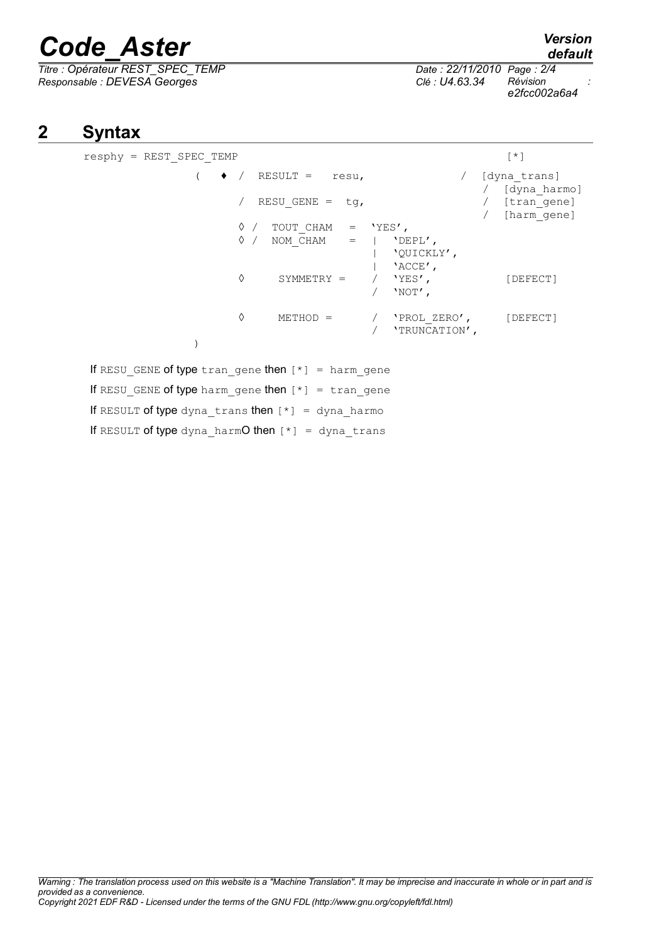# *Code\_Aster Version*

*Titre : Opérateur REST\_SPEC\_TEMP Date : 22/11/2010 Page : 2/4 Responsable : DEVESA Georges Clé : U4.63.34 Révision :*

# *default*

*e2fcc002a6a4*

# **2 Syntax**

| resphy = REST SPEC TEMP                                      |                                                                      |                                        | $\lceil * \rceil$                                              |
|--------------------------------------------------------------|----------------------------------------------------------------------|----------------------------------------|----------------------------------------------------------------|
| $\bullet$ /                                                  | $RESULT = resu,$<br>RESU GENE = $tg$ ,                               |                                        | [dyna trans]<br>/ [dyna harmo]<br>/ [tran gene]<br>[harm gene] |
|                                                              | $\Diamond$ / TOUT CHAM = 'YES',<br>$\Diamond$ / NOM CHAM =   'DEPL', | 'QUICKLY',<br>$'$ ACCE $'$ ,           |                                                                |
|                                                              | ♦<br>SYMMETRY =                                                      | 'YES',<br>$'NOT'$ ,                    | [DEFECT]                                                       |
|                                                              | ♦<br>$METHOD =$                                                      | 'PROL ZERO', [DEFECT]<br>'TRUNCATION', |                                                                |
|                                                              |                                                                      |                                        |                                                                |
| If RESU GENE of type tran gene then $[*] = \text{harm}$ gene |                                                                      |                                        |                                                                |
| If RESU GENE of type harm gene then $[*] = \text{tran}$ gene |                                                                      |                                        |                                                                |
| If RESULT of type dyna trans then $[*] =$ dyna harmo         |                                                                      |                                        |                                                                |
| If RESULT of type dyna harmO then $[*] = \text{dyn}$ trans   |                                                                      |                                        |                                                                |

*Warning : The translation process used on this website is a "Machine Translation". It may be imprecise and inaccurate in whole or in part and is provided as a convenience. Copyright 2021 EDF R&D - Licensed under the terms of the GNU FDL (http://www.gnu.org/copyleft/fdl.html)*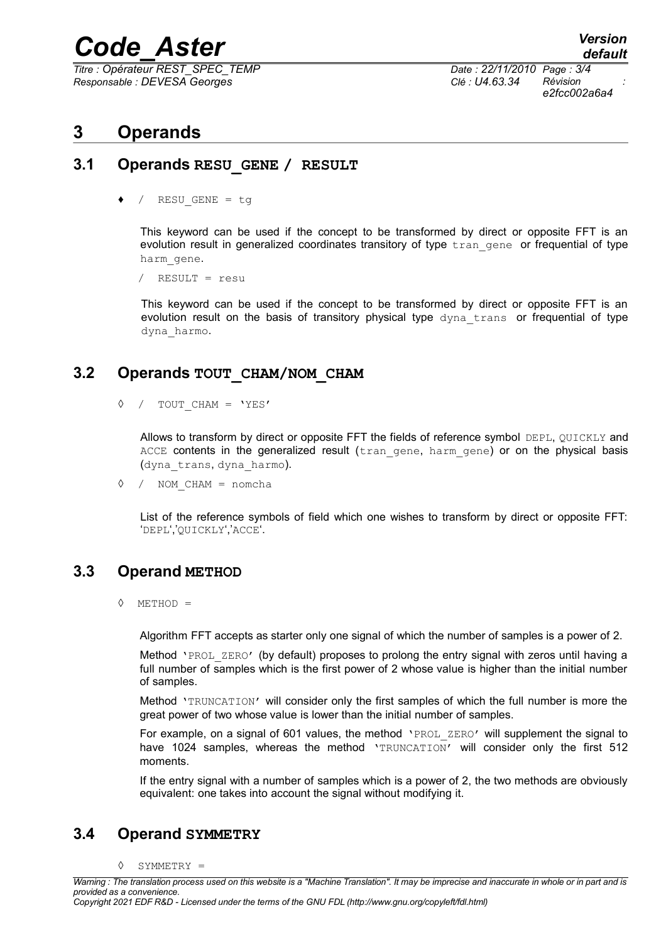# *Code\_Aster Version*

*Titre : Opérateur REST\_SPEC\_TEMP Date : 22/11/2010 Page : 3/4 Responsable : DEVESA Georges Clé : U4.63.34 Révision :*

*e2fcc002a6a4*

## **3 Operands**

#### **3.1 Operands RESU\_GENE / RESULT**

/ RESU GENE = tg

This keyword can be used if the concept to be transformed by direct or opposite FFT is an evolution result in generalized coordinates transitory of type  $\text{tran}$  gene or frequential of type harm\_gene.

/ RESULT = resu

This keyword can be used if the concept to be transformed by direct or opposite FFT is an evolution result on the basis of transitory physical type dyna trans or frequential of type dyna\_harmo.

#### **3.2 Operands TOUT\_CHAM/NOM\_CHAM**

◊ / TOUT\_CHAM = 'YES'

Allows to transform by direct or opposite FFT the fields of reference symbol DEPL, QUICKLY and ACCE contents in the generalized result (tran gene, harm gene) or on the physical basis (dyna\_trans, dyna\_harmo).

◊ / NOM\_CHAM = nomcha

List of the reference symbols of field which one wishes to transform by direct or opposite FFT: 'DEPL','QUICKLY','ACCE'.

#### **3.3 Operand METHOD**

◊ METHOD =

Algorithm FFT accepts as starter only one signal of which the number of samples is a power of 2.

Method 'PROL ZERO' (by default) proposes to prolong the entry signal with zeros until having a full number of samples which is the first power of 2 whose value is higher than the initial number of samples.

Method 'TRUNCATION' will consider only the first samples of which the full number is more the great power of two whose value is lower than the initial number of samples.

For example, on a signal of 601 values, the method 'PROL ZERO' will supplement the signal to have 1024 samples, whereas the method 'TRUNCATION' will consider only the first 512 moments.

If the entry signal with a number of samples which is a power of 2, the two methods are obviously equivalent: one takes into account the signal without modifying it.

### **3.4 Operand SYMMETRY**

◊ SYMMETRY =